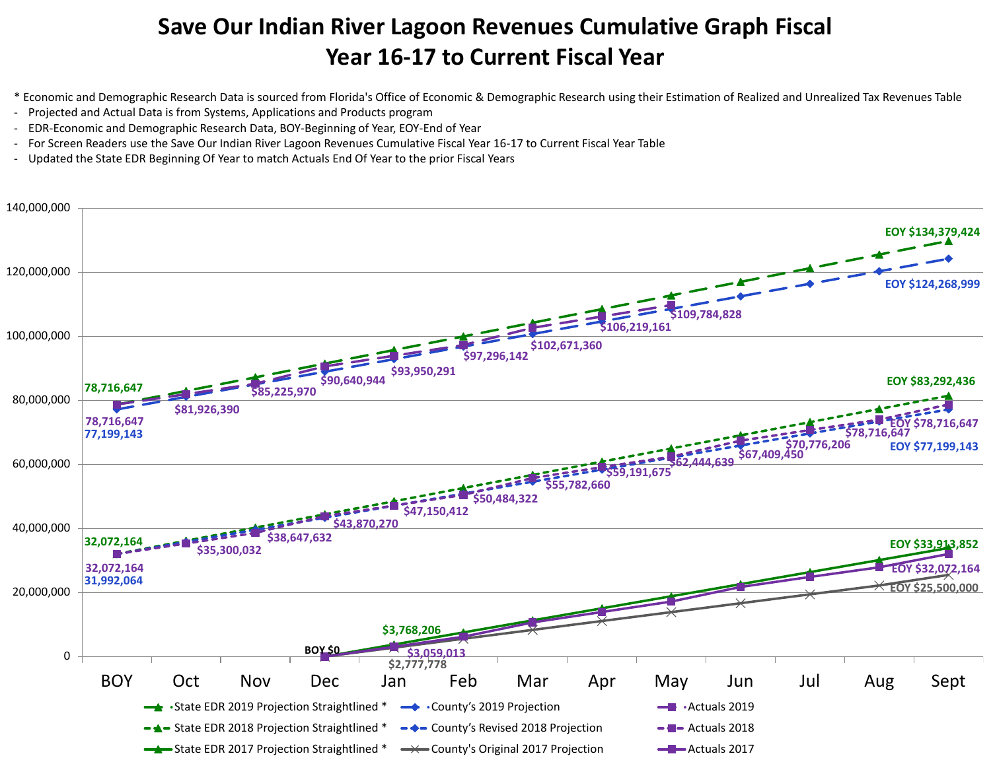## **Save Our Indian River Lagoon Revenues Cumulative Graph Fiscal Year 16-17 to Current Fiscal Year**

- \* Economic and Demographic Research Data is sourced from Florida's Office of Economic & Demographic Research using their Estimation of Realized and Unrealized Tax Revenues Table
- Projected and Actual Data is from Systems, Applications and Products program
- EDR-Economic and Demographic Research Data, BOY-Beginning of Year, EOY-End of Year
- For Screen Readers use the Save Our Indian River Lagoon Revenues Cumulative Fiscal Year 16-17 to Current Fiscal Year Table
- Updated the State EDR Beginning Of Year to match Actuals End Of Year to the prior Fiscal Years

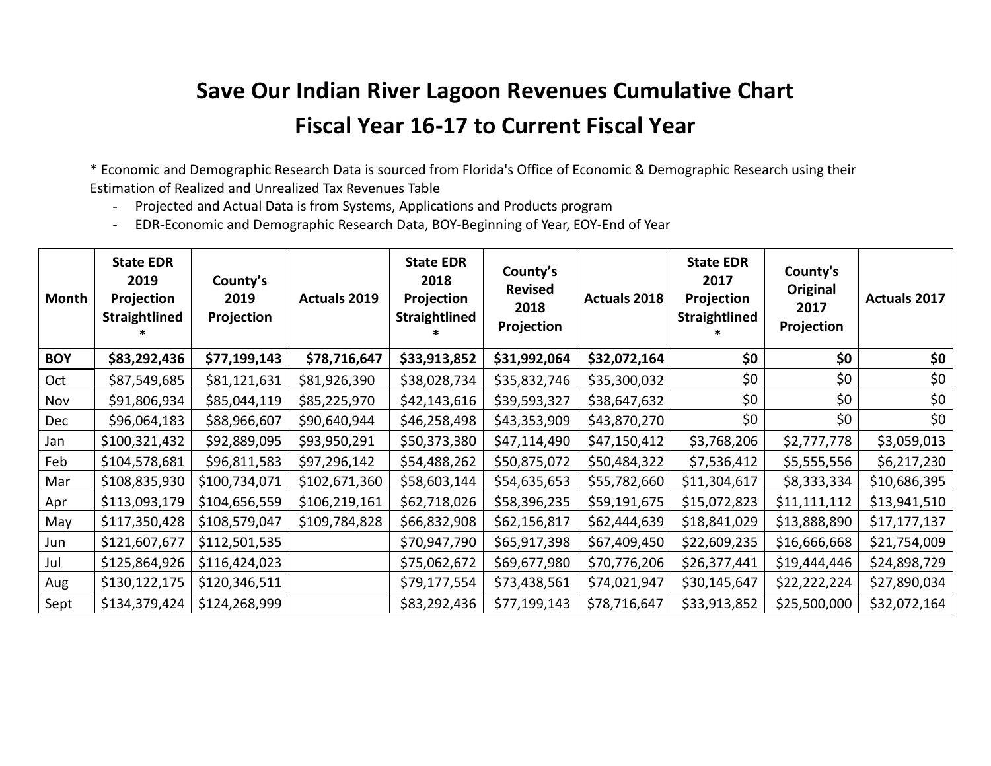## **Save Our Indian River Lagoon Revenues Cumulative Chart Fiscal Year 16‐17 to Current Fiscal Year**

\* Economic and Demographic Research Data is sourced from Florida's Office of Economic & Demographic Research using their Estimation of Realized and Unrealized Tax Revenues Table

- Projected and Actual Data is from Systems, Applications and Products program
- EDR-Economic and Demographic Research Data, BOY-Beginning of Year, EOY-End of Year

| Month      | <b>State EDR</b><br>2019<br>Projection<br><b>Straightlined</b> | County's<br>2019<br>Projection | <b>Actuals 2019</b> | <b>State EDR</b><br>2018<br>Projection<br><b>Straightlined</b> | County's<br><b>Revised</b><br>2018<br>Projection | <b>Actuals 2018</b> | <b>State EDR</b><br>2017<br>Projection<br><b>Straightlined</b> | County's<br><b>Original</b><br>2017<br>Projection | <b>Actuals 2017</b> |
|------------|----------------------------------------------------------------|--------------------------------|---------------------|----------------------------------------------------------------|--------------------------------------------------|---------------------|----------------------------------------------------------------|---------------------------------------------------|---------------------|
| <b>BOY</b> | \$83,292,436                                                   | \$77,199,143                   | \$78,716,647        | \$33,913,852                                                   | \$31,992,064                                     | \$32,072,164        | \$0                                                            | \$0                                               | \$0                 |
| Oct        | \$87,549,685                                                   | \$81,121,631                   | \$81,926,390        | \$38,028,734                                                   | \$35,832,746                                     | \$35,300,032        | \$0                                                            | \$0                                               | \$0                 |
| Nov        | \$91,806,934                                                   | \$85,044,119                   | \$85,225,970        | \$42,143,616                                                   | \$39,593,327                                     | \$38,647,632        | \$0                                                            | \$0                                               | \$0                 |
| Dec        | \$96,064,183                                                   | \$88,966,607                   | \$90,640,944        | \$46,258,498                                                   | \$43,353,909                                     | \$43,870,270        | \$0                                                            | \$0                                               | \$0                 |
| Jan        | \$100,321,432                                                  | \$92,889,095                   | \$93,950,291        | \$50,373,380                                                   | \$47,114,490                                     | \$47,150,412        | \$3,768,206                                                    | \$2,777,778                                       | \$3,059,013         |
| Feb        | \$104,578,681                                                  | \$96,811,583                   | \$97,296,142        | \$54,488,262                                                   | \$50,875,072                                     | \$50,484,322        | \$7,536,412                                                    | \$5,555,556                                       | \$6,217,230         |
| Mar        | \$108,835,930                                                  | \$100,734,071                  | \$102,671,360       | \$58,603,144                                                   | \$54,635,653                                     | \$55,782,660        | \$11,304,617                                                   | \$8,333,334                                       | \$10,686,395        |
| Apr        | \$113,093,179                                                  | \$104,656,559                  | \$106,219,161       | \$62,718,026                                                   | \$58,396,235                                     | \$59,191,675        | \$15,072,823                                                   | \$11,111,112                                      | \$13,941,510        |
| May        | \$117,350,428                                                  | \$108,579,047                  | \$109,784,828       | \$66,832,908                                                   | \$62,156,817                                     | \$62,444,639        | \$18,841,029                                                   | \$13,888,890                                      | \$17,177,137        |
| Jun        | \$121,607,677                                                  | \$112,501,535                  |                     | \$70,947,790                                                   | \$65,917,398                                     | \$67,409,450        | \$22,609,235                                                   | \$16,666,668                                      | \$21,754,009        |
| Jul        | \$125,864,926                                                  | \$116,424,023                  |                     | \$75,062,672                                                   | \$69,677,980                                     | \$70,776,206        | \$26,377,441                                                   | \$19,444,446                                      | \$24,898,729        |
| Aug        | \$130,122,175                                                  | \$120,346,511                  |                     | \$79,177,554                                                   | \$73,438,561                                     | \$74,021,947        | \$30,145,647                                                   | \$22,222,224                                      | \$27,890,034        |
| Sept       | \$134,379,424                                                  | \$124,268,999                  |                     | \$83,292,436                                                   | \$77,199,143                                     | \$78,716,647        | \$33,913,852                                                   | \$25,500,000                                      | \$32,072,164        |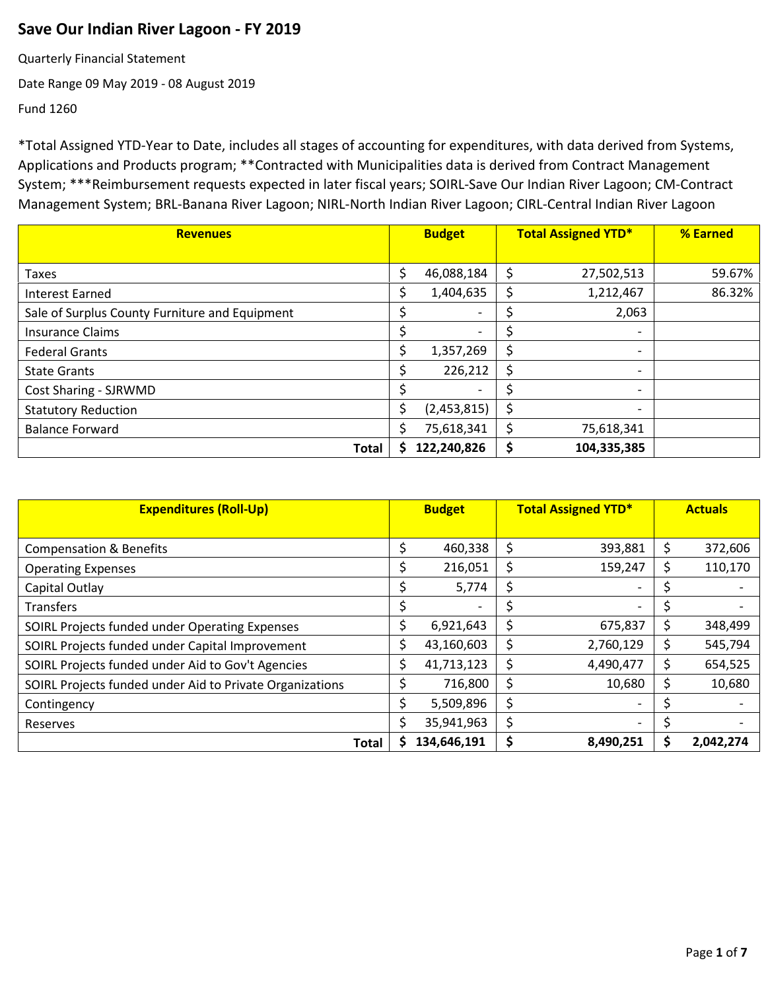## **Save Our Indian River Lagoon - FY 2019**

Quarterly Financial Statement

Date Range 09 May 2019 - 08 August 2019

Fund 1260

| <b>Revenues</b>                                |    | <b>Budget</b> |    | <b>Total Assigned YTD*</b> | % Earned |
|------------------------------------------------|----|---------------|----|----------------------------|----------|
|                                                |    |               |    |                            |          |
| Taxes                                          | \$ | 46,088,184    | \$ | 27,502,513                 | 59.67%   |
| <b>Interest Earned</b>                         | S  | 1,404,635     | S  | 1,212,467                  | 86.32%   |
| Sale of Surplus County Furniture and Equipment |    |               |    | 2,063                      |          |
| <b>Insurance Claims</b>                        |    |               |    | $\overline{\phantom{0}}$   |          |
| <b>Federal Grants</b>                          | S  | 1,357,269     | S  |                            |          |
| <b>State Grants</b>                            | S  | 226,212       | S. | $\overline{\phantom{0}}$   |          |
| Cost Sharing - SJRWMD                          |    |               |    |                            |          |
| <b>Statutory Reduction</b>                     | \$ | (2,453,815)   |    |                            |          |
| <b>Balance Forward</b>                         | \$ | 75,618,341    | S  | 75,618,341                 |          |
| Total                                          |    | 122,240,826   |    | 104,335,385                |          |

| <b>Expenditures (Roll-Up)</b>                            |    | <b>Budget</b>            |    | <b>Total Assigned YTD*</b> | <b>Actuals</b> |           |
|----------------------------------------------------------|----|--------------------------|----|----------------------------|----------------|-----------|
|                                                          |    |                          |    |                            |                |           |
| <b>Compensation &amp; Benefits</b>                       |    | 460,338                  | S  | 393,881                    | \$             | 372,606   |
| <b>Operating Expenses</b>                                |    | 216,051                  | Ś  | 159,247                    | Ś              | 110,170   |
| Capital Outlay                                           |    | 5,774                    | Ś  |                            |                |           |
| <b>Transfers</b>                                         |    | $\overline{\phantom{a}}$ |    | $\overline{\phantom{0}}$   | Ś              |           |
| SOIRL Projects funded under Operating Expenses           | Ś  | 6,921,643                | \$ | 675,837                    | \$             | 348,499   |
| SOIRL Projects funded under Capital Improvement          | \$ | 43,160,603               | \$ | 2,760,129                  | \$             | 545,794   |
| SOIRL Projects funded under Aid to Gov't Agencies        |    | 41,713,123               | Ś  | 4,490,477                  | \$             | 654,525   |
| SOIRL Projects funded under Aid to Private Organizations |    | 716,800                  | Ś  | 10,680                     | \$             | 10,680    |
| Contingency                                              |    | 5,509,896                | \$ |                            |                |           |
| Reserves                                                 |    | 35,941,963               | \$ | $\overline{\phantom{a}}$   |                |           |
| Total                                                    |    | 134,646,191              | \$ | 8,490,251                  | S              | 2,042,274 |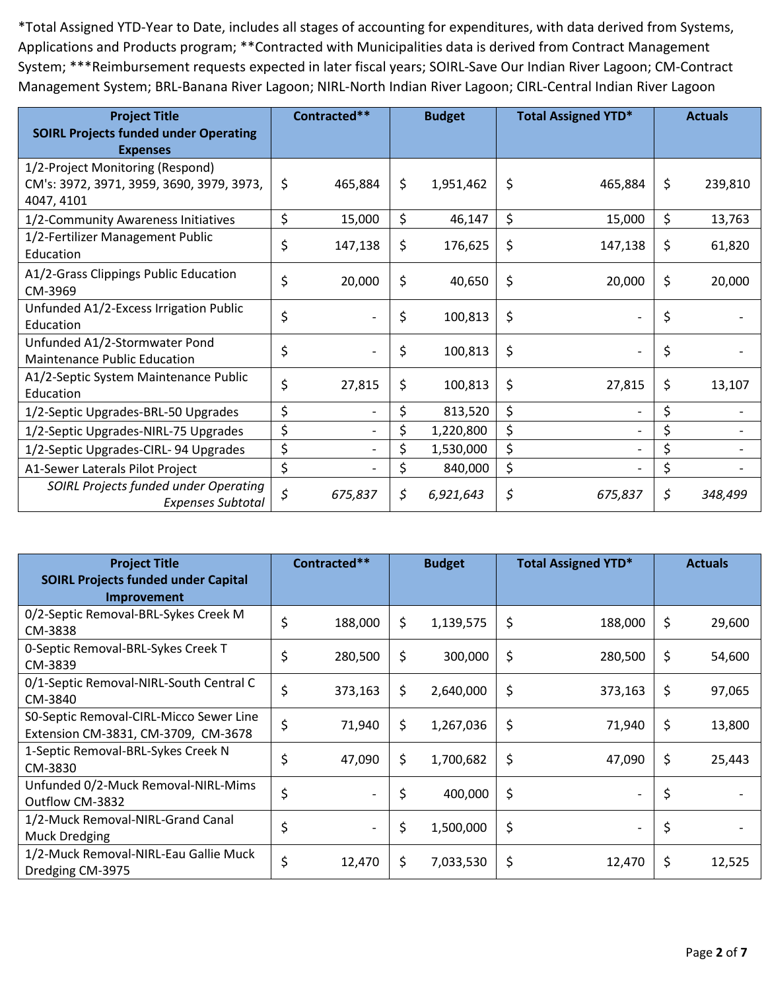| <b>Project Title</b><br><b>SOIRL Projects funded under Operating</b> | Contracted**  | <b>Budget</b>   | <b>Total Assigned YTD*</b> | <b>Actuals</b> |
|----------------------------------------------------------------------|---------------|-----------------|----------------------------|----------------|
| <b>Expenses</b>                                                      |               |                 |                            |                |
| 1/2-Project Monitoring (Respond)                                     |               |                 |                            |                |
| CM's: 3972, 3971, 3959, 3690, 3979, 3973,                            | \$<br>465,884 | \$<br>1,951,462 | \$<br>465,884              | \$<br>239,810  |
| 4047, 4101                                                           |               |                 |                            |                |
| 1/2-Community Awareness Initiatives                                  | \$<br>15,000  | \$<br>46,147    | \$<br>15,000               | \$<br>13,763   |
| 1/2-Fertilizer Management Public                                     | \$<br>147,138 | \$<br>176,625   | \$<br>147,138              | \$<br>61,820   |
| Education                                                            |               |                 |                            |                |
| A1/2-Grass Clippings Public Education                                |               |                 |                            |                |
| CM-3969                                                              | \$<br>20,000  | \$<br>40,650    | \$<br>20,000               | \$<br>20,000   |
| Unfunded A1/2-Excess Irrigation Public                               |               |                 |                            |                |
| Education                                                            | \$            | \$<br>100,813   | \$                         | \$             |
| Unfunded A1/2-Stormwater Pond                                        |               |                 |                            |                |
| <b>Maintenance Public Education</b>                                  | \$            | \$<br>100,813   | \$                         | \$             |
| A1/2-Septic System Maintenance Public                                | \$<br>27,815  | \$<br>100,813   | \$<br>27,815               | \$<br>13,107   |
| Education                                                            |               |                 |                            |                |
| 1/2-Septic Upgrades-BRL-50 Upgrades                                  | \$            | \$<br>813,520   | \$                         | \$             |
| 1/2-Septic Upgrades-NIRL-75 Upgrades                                 | \$            | 1,220,800       | \$                         | \$             |
| 1/2-Septic Upgrades-CIRL-94 Upgrades                                 | \$            | 1,530,000       | \$                         | \$             |
| A1-Sewer Laterals Pilot Project                                      | \$            | \$<br>840,000   | \$                         | \$             |
| SOIRL Projects funded under Operating                                | \$<br>675,837 | \$<br>6,921,643 | \$<br>675,837              | \$<br>348,499  |
| <b>Expenses Subtotal</b>                                             |               |                 |                            |                |

| <b>Project Title</b><br><b>SOIRL Projects funded under Capital</b>             | Contracted**  |     | <b>Budget</b> | <b>Total Assigned YTD*</b>     | <b>Actuals</b> |
|--------------------------------------------------------------------------------|---------------|-----|---------------|--------------------------------|----------------|
| <b>Improvement</b>                                                             |               |     |               |                                |                |
| 0/2-Septic Removal-BRL-Sykes Creek M<br>CM-3838                                | \$<br>188,000 | \$  | 1,139,575     | \$<br>188,000                  | \$<br>29,600   |
| 0-Septic Removal-BRL-Sykes Creek T<br>CM-3839                                  | \$<br>280,500 | \$  | 300,000       | \$<br>280,500                  | \$<br>54,600   |
| 0/1-Septic Removal-NIRL-South Central C<br>CM-3840                             | \$<br>373,163 | \$. | 2,640,000     | \$<br>373,163                  | \$<br>97,065   |
| S0-Septic Removal-CIRL-Micco Sewer Line<br>Extension CM-3831, CM-3709, CM-3678 | \$<br>71,940  | \$. | 1,267,036     | \$<br>71,940                   | \$<br>13,800   |
| 1-Septic Removal-BRL-Sykes Creek N<br>CM-3830                                  | \$<br>47,090  | \$. | 1,700,682     | \$<br>47,090                   | \$<br>25,443   |
| Unfunded 0/2-Muck Removal-NIRL-Mims<br>Outflow CM-3832                         | \$            | \$  | 400,000       | \$<br>$\overline{\phantom{a}}$ | \$             |
| 1/2-Muck Removal-NIRL-Grand Canal<br><b>Muck Dredging</b>                      | \$            | \$  | 1,500,000     | \$<br>$\overline{\phantom{a}}$ | \$             |
| 1/2-Muck Removal-NIRL-Eau Gallie Muck<br>Dredging CM-3975                      | \$<br>12,470  | \$  | 7,033,530     | \$<br>12,470                   | \$<br>12,525   |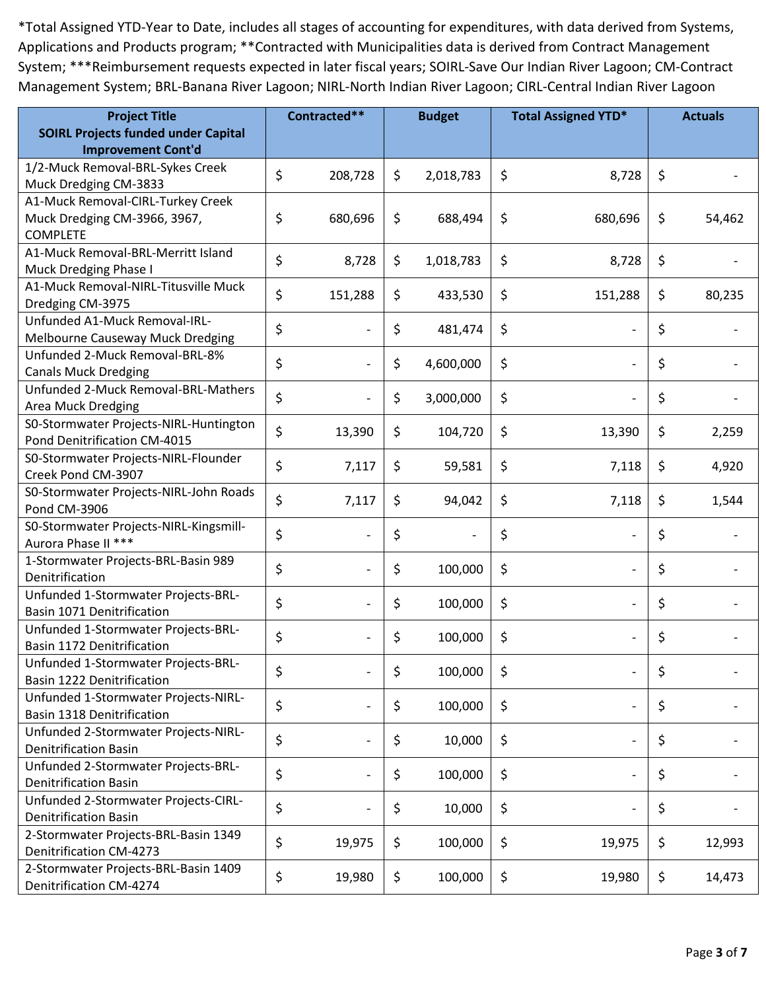| <b>Project Title</b>                                              |    | Contracted**             |    | <b>Budget</b> |    | <b>Total Assigned YTD*</b> |    | <b>Actuals</b> |
|-------------------------------------------------------------------|----|--------------------------|----|---------------|----|----------------------------|----|----------------|
| <b>SOIRL Projects funded under Capital</b>                        |    |                          |    |               |    |                            |    |                |
| <b>Improvement Cont'd</b>                                         |    |                          |    |               |    |                            |    |                |
| 1/2-Muck Removal-BRL-Sykes Creek                                  | \$ | 208,728                  | \$ | 2,018,783     | \$ | 8,728                      | \$ |                |
| Muck Dredging CM-3833                                             |    |                          |    |               |    |                            |    |                |
| A1-Muck Removal-CIRL-Turkey Creek                                 |    |                          |    |               |    |                            |    |                |
| Muck Dredging CM-3966, 3967,                                      | \$ | 680,696                  | \$ | 688,494       | \$ | 680,696                    | \$ | 54,462         |
| <b>COMPLETE</b>                                                   |    |                          |    |               |    |                            |    |                |
| A1-Muck Removal-BRL-Merritt Island<br>Muck Dredging Phase I       | \$ | 8,728                    | \$ | 1,018,783     | \$ | 8,728                      | \$ |                |
| A1-Muck Removal-NIRL-Titusville Muck                              |    |                          |    |               |    |                            |    |                |
| Dredging CM-3975                                                  | \$ | 151,288                  | \$ | 433,530       | \$ | 151,288                    | \$ | 80,235         |
| Unfunded A1-Muck Removal-IRL-                                     |    |                          |    |               |    |                            |    |                |
| Melbourne Causeway Muck Dredging                                  | \$ | $\overline{a}$           | \$ | 481,474       | \$ | $\overline{\phantom{a}}$   | \$ |                |
| Unfunded 2-Muck Removal-BRL-8%                                    |    |                          |    |               |    |                            |    |                |
| <b>Canals Muck Dredging</b>                                       | \$ | $\overline{\phantom{a}}$ | \$ | 4,600,000     | \$ | $\overline{\phantom{a}}$   | \$ |                |
| Unfunded 2-Muck Removal-BRL-Mathers                               |    |                          |    |               |    |                            |    |                |
| Area Muck Dredging                                                | \$ |                          | \$ | 3,000,000     | \$ |                            | \$ |                |
| S0-Stormwater Projects-NIRL-Huntington                            |    |                          |    |               |    |                            |    |                |
| Pond Denitrification CM-4015                                      | \$ | 13,390                   | \$ | 104,720       | \$ | 13,390                     | \$ | 2,259          |
| S0-Stormwater Projects-NIRL-Flounder                              |    |                          |    |               |    |                            |    |                |
| Creek Pond CM-3907                                                | \$ | 7,117                    | \$ | 59,581        | \$ | 7,118                      | \$ | 4,920          |
| S0-Stormwater Projects-NIRL-John Roads                            | \$ | 7,117                    | \$ | 94,042        | \$ | 7,118                      | \$ | 1,544          |
| Pond CM-3906                                                      |    |                          |    |               |    |                            |    |                |
| S0-Stormwater Projects-NIRL-Kingsmill-                            | \$ | $\overline{a}$           | \$ |               | \$ | $\overline{\phantom{a}}$   | \$ |                |
| Aurora Phase II ***                                               |    |                          |    |               |    |                            |    |                |
| 1-Stormwater Projects-BRL-Basin 989                               | \$ |                          | \$ | 100,000       | \$ | $\overline{\phantom{a}}$   | \$ |                |
| Denitrification                                                   |    |                          |    |               |    |                            |    |                |
| Unfunded 1-Stormwater Projects-BRL-                               | \$ | $\overline{a}$           | \$ | 100,000       | \$ |                            | \$ |                |
| Basin 1071 Denitrification                                        |    |                          |    |               |    |                            |    |                |
| Unfunded 1-Stormwater Projects-BRL-                               | \$ | $\overline{a}$           | \$ | 100,000       | \$ | $\overline{\phantom{a}}$   | \$ |                |
| Basin 1172 Denitrification                                        |    |                          |    |               |    |                            |    |                |
| Unfunded 1-Stormwater Projects-BRL-<br>Basin 1222 Denitrification | Ş  | $\overline{\phantom{a}}$ | Ş  | 100,000       | Ş  | $\overline{\phantom{a}}$   | Ş  |                |
| Unfunded 1-Stormwater Projects-NIRL-                              |    |                          |    |               |    |                            |    |                |
| <b>Basin 1318 Denitrification</b>                                 | \$ |                          | \$ | 100,000       | \$ | $\overline{a}$             | \$ |                |
| Unfunded 2-Stormwater Projects-NIRL-                              |    |                          |    |               |    |                            |    |                |
| <b>Denitrification Basin</b>                                      | \$ |                          | \$ | 10,000        | \$ |                            | \$ |                |
| Unfunded 2-Stormwater Projects-BRL-                               |    |                          |    |               |    |                            |    |                |
| <b>Denitrification Basin</b>                                      | \$ |                          | \$ | 100,000       | \$ | $\overline{\phantom{a}}$   | \$ |                |
| Unfunded 2-Stormwater Projects-CIRL-                              |    |                          |    |               |    |                            |    |                |
| <b>Denitrification Basin</b>                                      | \$ |                          | \$ | 10,000        | \$ | $\overline{a}$             | \$ |                |
| 2-Stormwater Projects-BRL-Basin 1349                              |    |                          |    |               |    |                            |    |                |
| <b>Denitrification CM-4273</b>                                    | \$ | 19,975                   | \$ | 100,000       | \$ | 19,975                     | \$ | 12,993         |
| 2-Stormwater Projects-BRL-Basin 1409                              |    |                          |    |               |    |                            |    |                |
| Denitrification CM-4274                                           | \$ | 19,980                   | \$ | 100,000       | \$ | 19,980                     | \$ | 14,473         |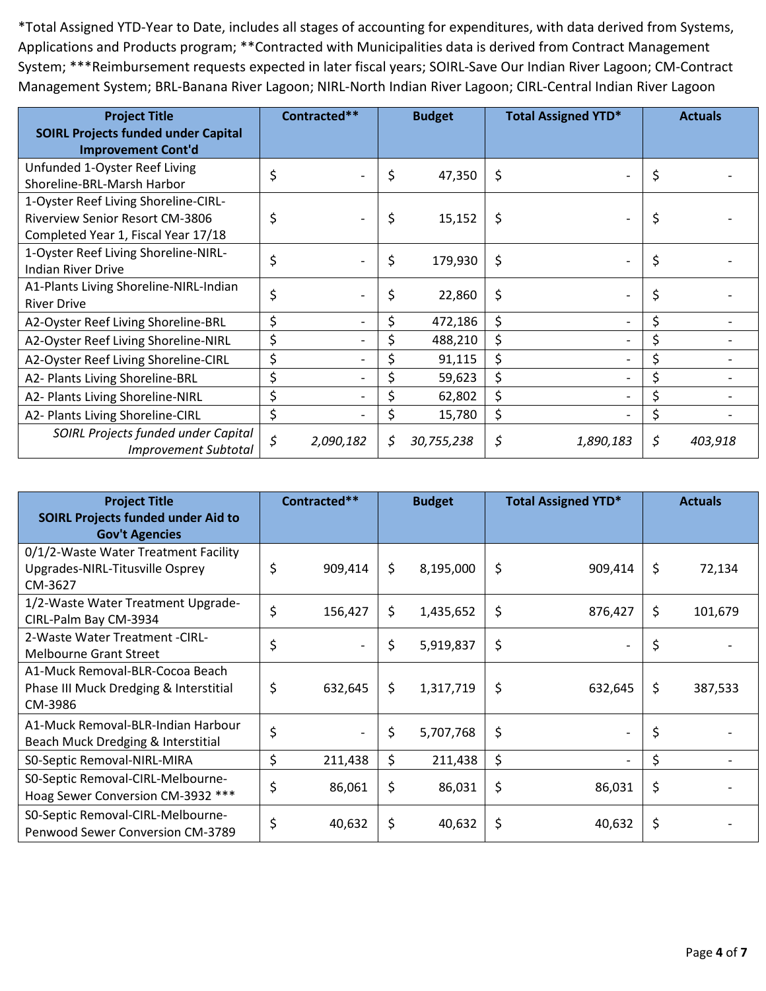| <b>Project Title</b><br><b>SOIRL Projects funded under Capital</b> | Contracted**    | <b>Budget</b> |            |         | <b>Total Assigned YTD*</b> | <b>Actuals</b> |
|--------------------------------------------------------------------|-----------------|---------------|------------|---------|----------------------------|----------------|
| <b>Improvement Cont'd</b>                                          |                 |               |            |         |                            |                |
| Unfunded 1-Oyster Reef Living                                      | \$              | \$            | 47,350     | \$      |                            | \$             |
| Shoreline-BRL-Marsh Harbor                                         |                 |               |            |         |                            |                |
| 1-Oyster Reef Living Shoreline-CIRL-                               |                 |               |            |         |                            |                |
| <b>Riverview Senior Resort CM-3806</b>                             | \$              | \$            | 15,152     | \$      |                            | \$             |
| Completed Year 1, Fiscal Year 17/18                                |                 |               |            |         |                            |                |
| 1-Oyster Reef Living Shoreline-NIRL-                               | \$              | \$            | 179,930    | \$      |                            | \$             |
| Indian River Drive                                                 |                 |               |            |         |                            |                |
| A1-Plants Living Shoreline-NIRL-Indian                             | \$              | \$            | 22,860     | \$      |                            | \$             |
| <b>River Drive</b>                                                 |                 |               |            |         |                            |                |
| A2-Oyster Reef Living Shoreline-BRL                                | \$              |               | 472,186    | \$      |                            | \$             |
| A2-Oyster Reef Living Shoreline-NIRL                               | \$              |               | 488,210    | \$      |                            |                |
| A2-Oyster Reef Living Shoreline-CIRL                               | \$              |               | 91,115     | $\zeta$ |                            | \$             |
| A2- Plants Living Shoreline-BRL                                    | \$              |               | 59,623     | \$      |                            | \$             |
| A2- Plants Living Shoreline-NIRL                                   | \$              |               | 62,802     | \$      |                            | \$             |
| A2- Plants Living Shoreline-CIRL                                   | \$              |               | 15,780     | \$      |                            | \$             |
| SOIRL Projects funded under Capital<br><b>Improvement Subtotal</b> | \$<br>2,090,182 | \$            | 30,755,238 | \$      | 1,890,183                  | \$<br>403,918  |

| <b>Project Title</b><br><b>SOIRL Projects funded under Aid to</b><br><b>Gov't Agencies</b> | Contracted**                   | <b>Budget</b>   | <b>Total Assigned YTD*</b> |                          | <b>Actuals</b> |
|--------------------------------------------------------------------------------------------|--------------------------------|-----------------|----------------------------|--------------------------|----------------|
| 0/1/2-Waste Water Treatment Facility<br>Upgrades-NIRL-Titusville Osprey<br>CM-3627         | \$<br>909,414                  | \$<br>8,195,000 | \$                         | 909,414                  | \$<br>72,134   |
| 1/2-Waste Water Treatment Upgrade-<br>CIRL-Palm Bay CM-3934                                | \$<br>156,427                  | \$<br>1,435,652 | \$                         | 876,427                  | \$<br>101,679  |
| 2-Waste Water Treatment - CIRL-<br><b>Melbourne Grant Street</b>                           | \$                             | \$<br>5,919,837 | \$                         |                          | \$             |
| A1-Muck Removal-BLR-Cocoa Beach<br>Phase III Muck Dredging & Interstitial<br>CM-3986       | \$<br>632,645                  | \$<br>1,317,719 | \$                         | 632,645                  | \$<br>387,533  |
| A1-Muck Removal-BLR-Indian Harbour<br>Beach Muck Dredging & Interstitial                   | \$<br>$\overline{\phantom{0}}$ | \$<br>5,707,768 | \$                         | $\overline{\phantom{a}}$ | \$             |
| SO-Septic Removal-NIRL-MIRA                                                                | \$<br>211,438                  | \$<br>211,438   | \$                         |                          | \$             |
| S0-Septic Removal-CIRL-Melbourne-<br>Hoag Sewer Conversion CM-3932 ***                     | \$<br>86,061                   | \$<br>86,031    | \$                         | 86,031                   | \$             |
| S0-Septic Removal-CIRL-Melbourne-<br>Penwood Sewer Conversion CM-3789                      | \$<br>40,632                   | \$<br>40,632    | \$                         | 40,632                   | \$             |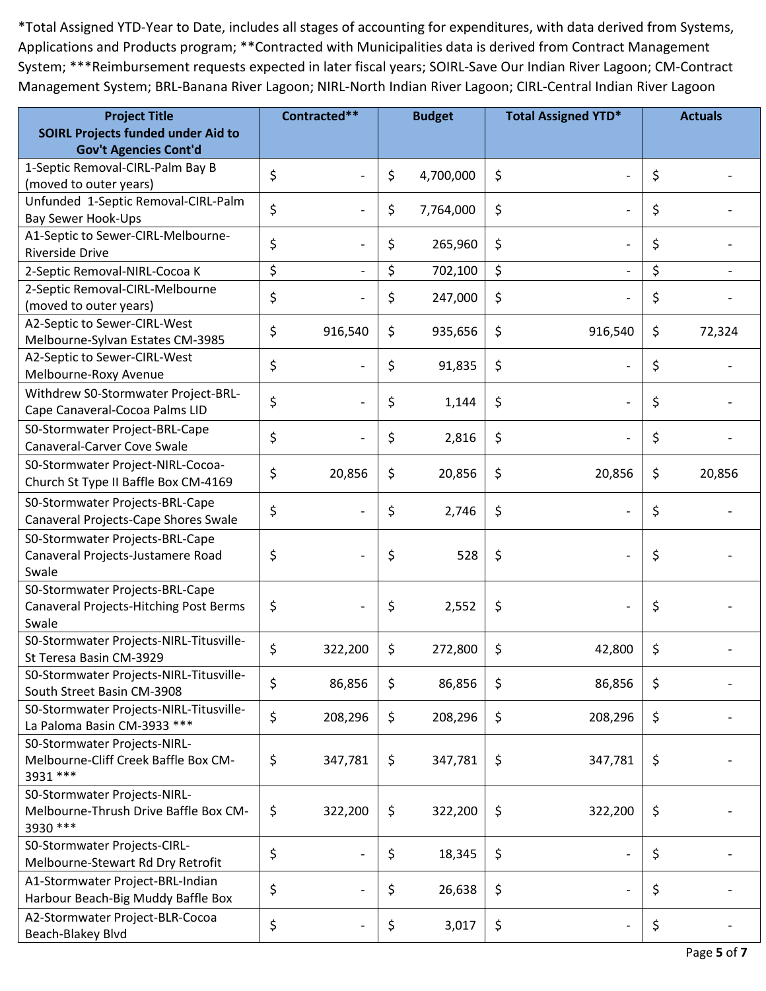| <b>Project Title</b>                                  | Contracted**                   | <b>Budget</b> |           | <b>Total Assigned YTD*</b> |    | <b>Actuals</b> |  |
|-------------------------------------------------------|--------------------------------|---------------|-----------|----------------------------|----|----------------|--|
| <b>SOIRL Projects funded under Aid to</b>             |                                |               |           |                            |    |                |  |
| <b>Gov't Agencies Cont'd</b>                          |                                |               |           |                            |    |                |  |
| 1-Septic Removal-CIRL-Palm Bay B                      | \$                             | \$            | 4,700,000 | \$                         | \$ |                |  |
| (moved to outer years)                                |                                |               |           |                            |    |                |  |
| Unfunded 1-Septic Removal-CIRL-Palm                   | \$<br>$\overline{a}$           | \$            | 7,764,000 | \$                         | \$ |                |  |
| Bay Sewer Hook-Ups                                    |                                |               |           |                            |    |                |  |
| A1-Septic to Sewer-CIRL-Melbourne-<br>Riverside Drive | \$                             | \$            | 265,960   | \$                         | \$ |                |  |
| 2-Septic Removal-NIRL-Cocoa K                         | \$                             | \$            | 702,100   | \$                         | \$ |                |  |
| 2-Septic Removal-CIRL-Melbourne                       |                                |               |           |                            |    |                |  |
| (moved to outer years)                                | \$                             | \$            | 247,000   | \$                         | \$ |                |  |
| A2-Septic to Sewer-CIRL-West                          |                                |               |           |                            |    |                |  |
| Melbourne-Sylvan Estates CM-3985                      | \$<br>916,540                  | \$            | 935,656   | \$<br>916,540              | \$ | 72,324         |  |
| A2-Septic to Sewer-CIRL-West                          |                                |               |           |                            |    |                |  |
| Melbourne-Roxy Avenue                                 | \$<br>$\overline{\phantom{a}}$ | \$            | 91,835    | \$                         | \$ |                |  |
| Withdrew S0-Stormwater Project-BRL-                   |                                |               |           |                            |    |                |  |
| Cape Canaveral-Cocoa Palms LID                        | \$                             | \$            | 1,144     | \$                         | \$ |                |  |
| S0-Stormwater Project-BRL-Cape                        |                                |               |           |                            |    |                |  |
| Canaveral-Carver Cove Swale                           | \$                             | \$            | 2,816     | \$                         | \$ |                |  |
| S0-Stormwater Project-NIRL-Cocoa-                     |                                |               |           |                            |    |                |  |
| Church St Type II Baffle Box CM-4169                  | \$<br>20,856                   | \$            | 20,856    | \$<br>20,856               | \$ | 20,856         |  |
| S0-Stormwater Projects-BRL-Cape                       |                                |               |           |                            |    |                |  |
| Canaveral Projects-Cape Shores Swale                  | \$                             | \$            | 2,746     | \$                         | \$ |                |  |
| S0-Stormwater Projects-BRL-Cape                       |                                |               |           |                            |    |                |  |
| Canaveral Projects-Justamere Road                     | \$<br>$\overline{\phantom{a}}$ | \$            | 528       | \$                         | \$ |                |  |
| Swale                                                 |                                |               |           |                            |    |                |  |
| S0-Stormwater Projects-BRL-Cape                       |                                |               |           |                            |    |                |  |
| Canaveral Projects-Hitching Post Berms                | \$<br>$\overline{\phantom{a}}$ | \$            | 2,552     | \$<br>$\overline{a}$       | \$ |                |  |
| Swale                                                 |                                |               |           |                            |    |                |  |
| S0-Stormwater Projects-NIRL-Titusville-               |                                |               |           |                            |    |                |  |
| St Teresa Basin CM-3929                               | \$<br>322,200                  | \$            | 272,800   | \$<br>42,800               | \$ |                |  |
| S0-Stormwater Projects-NIRL-Titusville-               |                                |               |           |                            |    |                |  |
| South Street Basin CM-3908                            | \$<br>86,856                   | \$            | 86,856    | \$<br>86,856               | \$ |                |  |
| S0-Stormwater Projects-NIRL-Titusville-               | \$<br>208,296                  | \$            | 208,296   | \$<br>208,296              | \$ |                |  |
| La Paloma Basin CM-3933 ***                           |                                |               |           |                            |    |                |  |
| S0-Stormwater Projects-NIRL-                          |                                |               |           |                            |    |                |  |
| Melbourne-Cliff Creek Baffle Box CM-                  | \$<br>347,781                  | \$            | 347,781   | \$<br>347,781              | \$ |                |  |
| 3931 ***                                              |                                |               |           |                            |    |                |  |
| S0-Stormwater Projects-NIRL-                          |                                |               |           |                            |    |                |  |
| Melbourne-Thrush Drive Baffle Box CM-                 | \$<br>322,200                  | \$            | 322,200   | \$<br>322,200              | \$ |                |  |
| 3930 ***                                              |                                |               |           |                            |    |                |  |
| S0-Stormwater Projects-CIRL-                          | \$<br>$\overline{\phantom{a}}$ | \$            | 18,345    | \$                         | \$ |                |  |
| Melbourne-Stewart Rd Dry Retrofit                     |                                |               |           |                            |    |                |  |
| A1-Stormwater Project-BRL-Indian                      | \$                             | \$            | 26,638    | \$                         | \$ |                |  |
| Harbour Beach-Big Muddy Baffle Box                    |                                |               |           |                            |    |                |  |
| A2-Stormwater Project-BLR-Cocoa                       | \$                             | \$            | 3,017     | \$                         | \$ |                |  |
| Beach-Blakey Blvd                                     |                                |               |           |                            |    |                |  |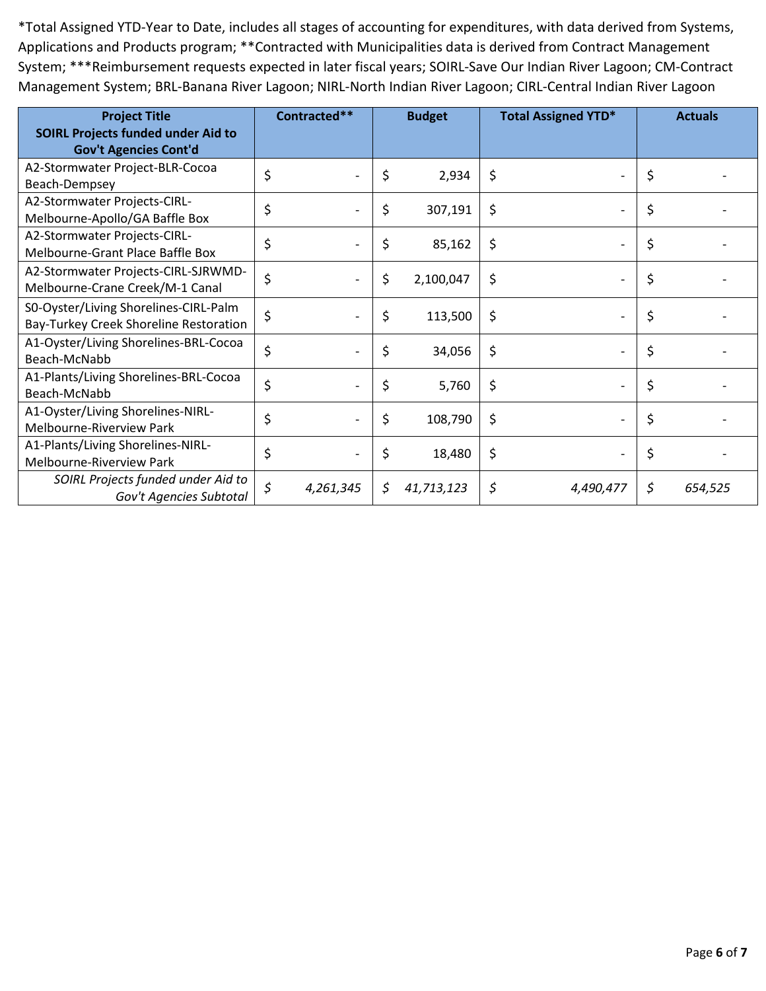| <b>Project Title</b><br><b>SOIRL Projects funded under Aid to</b>               | Contracted**                   |    | <b>Budget</b> | <b>Total Assigned YTD*</b> |           | <b>Actuals</b> |         |
|---------------------------------------------------------------------------------|--------------------------------|----|---------------|----------------------------|-----------|----------------|---------|
| <b>Gov't Agencies Cont'd</b>                                                    |                                |    |               |                            |           |                |         |
| A2-Stormwater Project-BLR-Cocoa<br>Beach-Dempsey                                | \$<br>$\overline{\phantom{0}}$ | \$ | 2,934         | \$                         |           | \$             |         |
| A2-Stormwater Projects-CIRL-<br>Melbourne-Apollo/GA Baffle Box                  | \$<br>$\overline{\phantom{0}}$ | \$ | 307,191       | \$                         |           | \$             |         |
| A2-Stormwater Projects-CIRL-<br>Melbourne-Grant Place Baffle Box                | \$<br>$\overline{\phantom{0}}$ | \$ | 85,162        | \$                         |           | \$             |         |
| A2-Stormwater Projects-CIRL-SJRWMD-<br>Melbourne-Crane Creek/M-1 Canal          | \$                             | \$ | 2,100,047     | \$                         |           | \$             |         |
| S0-Oyster/Living Shorelines-CIRL-Palm<br>Bay-Turkey Creek Shoreline Restoration | \$<br>$\overline{\phantom{0}}$ | \$ | 113,500       | \$                         |           | \$             |         |
| A1-Oyster/Living Shorelines-BRL-Cocoa<br>Beach-McNabb                           | \$<br>$\overline{a}$           | \$ | 34,056        | \$                         |           | \$             |         |
| A1-Plants/Living Shorelines-BRL-Cocoa<br>Beach-McNabb                           | \$<br>$\overline{\phantom{0}}$ | \$ | 5,760         | \$                         |           | \$             |         |
| A1-Oyster/Living Shorelines-NIRL-<br>Melbourne-Riverview Park                   | \$                             | \$ | 108,790       | \$                         |           | \$             |         |
| A1-Plants/Living Shorelines-NIRL-<br>Melbourne-Riverview Park                   | \$<br>$\overline{\phantom{a}}$ | \$ | 18,480        | \$                         |           | \$             |         |
| SOIRL Projects funded under Aid to<br>Gov't Agencies Subtotal                   | \$<br>4,261,345                | S  | 41,713,123    | \$                         | 4,490,477 | \$             | 654,525 |